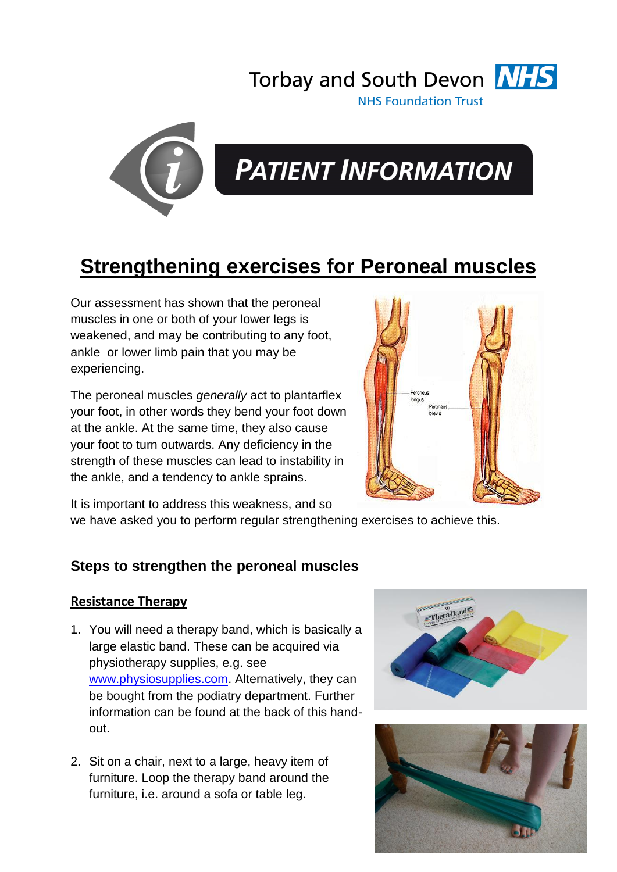



# **PATIENT INFORMATION**

# **Strengthening exercises for Peroneal muscles**

Our assessment has shown that the peroneal muscles in one or both of your lower legs is weakened, and may be contributing to any foot, ankle or lower limb pain that you may be experiencing.

The peroneal muscles *generally* act to plantarflex your foot, in other words they bend your foot down at the ankle. At the same time, they also cause your foot to turn outwards. Any deficiency in the strength of these muscles can lead to instability in the ankle, and a tendency to ankle sprains.



It is important to address this weakness, and so

we have asked you to perform regular strengthening exercises to achieve this.

## **Steps to strengthen the peroneal muscles**

#### **Resistance Therapy**

- 1. You will need a therapy band, which is basically a large elastic band. These can be acquired via physiotherapy supplies, e.g. see [www.physiosupplies.com.](http://www.physiosupplies.com/) Alternatively, they can be bought from the podiatry department. Further information can be found at the back of this handout.
- 2. Sit on a chair, next to a large, heavy item of furniture. Loop the therapy band around the furniture, i.e. around a sofa or table leg.



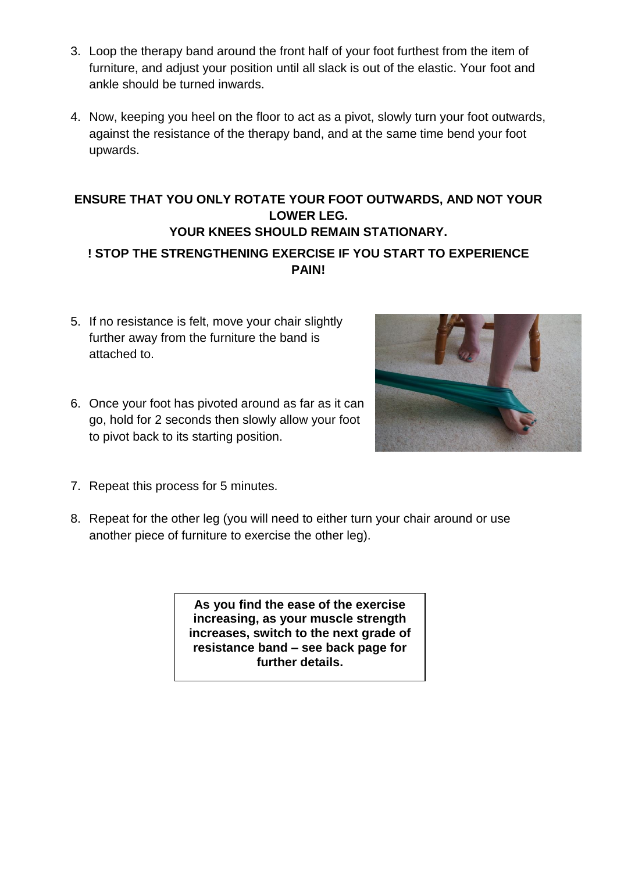- 3. Loop the therapy band around the front half of your foot furthest from the item of furniture, and adjust your position until all slack is out of the elastic. Your foot and ankle should be turned inwards.
- 4. Now, keeping you heel on the floor to act as a pivot, slowly turn your foot outwards, against the resistance of the therapy band, and at the same time bend your foot upwards.

### **ENSURE THAT YOU ONLY ROTATE YOUR FOOT OUTWARDS, AND NOT YOUR LOWER LEG. YOUR KNEES SHOULD REMAIN STATIONARY. ! STOP THE STRENGTHENING EXERCISE IF YOU START TO EXPERIENCE PAIN!**

- 5. If no resistance is felt, move your chair slightly further away from the furniture the band is attached to.
- 6. Once your foot has pivoted around as far as it can go, hold for 2 seconds then slowly allow your foot to pivot back to its starting position.
- 7. Repeat this process for 5 minutes.
- 8. Repeat for the other leg (you will need to either turn your chair around or use another piece of furniture to exercise the other leg).

**As you find the ease of the exercise increasing, as your muscle strength increases, switch to the next grade of resistance band – see back page for further details.**